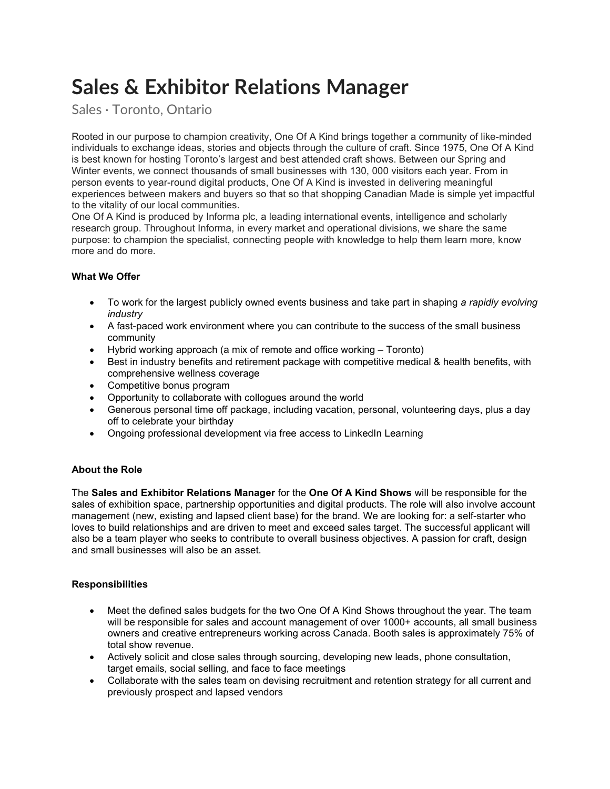# Sales & Exhibitor Relations Manager

Sales · Toronto, Ontario

Rooted in our purpose to champion creativity, One Of A Kind brings together a community of like-minded individuals to exchange ideas, stories and objects through the culture of craft. Since 1975, One Of A Kind is best known for hosting Toronto's largest and best attended craft shows. Between our Spring and Winter events, we connect thousands of small businesses with 130, 000 visitors each year. From in person events to year-round digital products, One Of A Kind is invested in delivering meaningful experiences between makers and buyers so that so that shopping Canadian Made is simple yet impactful to the vitality of our local communities.

One Of A Kind is produced by Informa plc, a leading international events, intelligence and scholarly research group. Throughout Informa, in every market and operational divisions, we share the same purpose: to champion the specialist, connecting people with knowledge to help them learn more, know more and do more.

# What We Offer

- To work for the largest publicly owned events business and take part in shaping a rapidly evolving industry
- A fast-paced work environment where you can contribute to the success of the small business community
- Hybrid working approach (a mix of remote and office working Toronto)
- Best in industry benefits and retirement package with competitive medical & health benefits, with comprehensive wellness coverage
- Competitive bonus program
- Opportunity to collaborate with collogues around the world
- Generous personal time off package, including vacation, personal, volunteering days, plus a day off to celebrate your birthday
- Ongoing professional development via free access to LinkedIn Learning

# About the Role

The Sales and Exhibitor Relations Manager for the One Of A Kind Shows will be responsible for the sales of exhibition space, partnership opportunities and digital products. The role will also involve account management (new, existing and lapsed client base) for the brand. We are looking for: a self-starter who loves to build relationships and are driven to meet and exceed sales target. The successful applicant will also be a team player who seeks to contribute to overall business objectives. A passion for craft, design and small businesses will also be an asset.

# **Responsibilities**

- Meet the defined sales budgets for the two One Of A Kind Shows throughout the year. The team will be responsible for sales and account management of over 1000+ accounts, all small business owners and creative entrepreneurs working across Canada. Booth sales is approximately 75% of total show revenue.
- Actively solicit and close sales through sourcing, developing new leads, phone consultation, target emails, social selling, and face to face meetings
- Collaborate with the sales team on devising recruitment and retention strategy for all current and previously prospect and lapsed vendors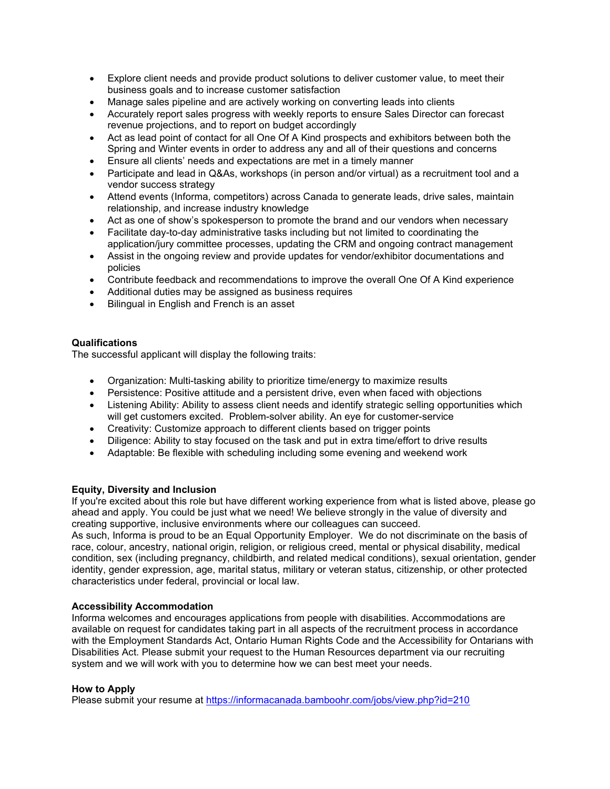- Explore client needs and provide product solutions to deliver customer value, to meet their business goals and to increase customer satisfaction
- Manage sales pipeline and are actively working on converting leads into clients
- Accurately report sales progress with weekly reports to ensure Sales Director can forecast revenue projections, and to report on budget accordingly
- Act as lead point of contact for all One Of A Kind prospects and exhibitors between both the Spring and Winter events in order to address any and all of their questions and concerns
- Ensure all clients' needs and expectations are met in a timely manner
- Participate and lead in Q&As, workshops (in person and/or virtual) as a recruitment tool and a vendor success strategy
- Attend events (Informa, competitors) across Canada to generate leads, drive sales, maintain relationship, and increase industry knowledge
- Act as one of show's spokesperson to promote the brand and our vendors when necessary
- Facilitate day-to-day administrative tasks including but not limited to coordinating the application/jury committee processes, updating the CRM and ongoing contract management
- Assist in the ongoing review and provide updates for vendor/exhibitor documentations and policies
- Contribute feedback and recommendations to improve the overall One Of A Kind experience
- Additional duties may be assigned as business requires
- Bilingual in English and French is an asset

## Qualifications

The successful applicant will display the following traits:

- Organization: Multi-tasking ability to prioritize time/energy to maximize results
- Persistence: Positive attitude and a persistent drive, even when faced with objections
- Listening Ability: Ability to assess client needs and identify strategic selling opportunities which will get customers excited. Problem-solver ability. An eye for customer-service
- Creativity: Customize approach to different clients based on trigger points
- Diligence: Ability to stay focused on the task and put in extra time/effort to drive results
- Adaptable: Be flexible with scheduling including some evening and weekend work

## Equity, Diversity and Inclusion

If you're excited about this role but have different working experience from what is listed above, please go ahead and apply. You could be just what we need! We believe strongly in the value of diversity and creating supportive, inclusive environments where our colleagues can succeed. As such, Informa is proud to be an Equal Opportunity Employer. We do not discriminate on the basis of

race, colour, ancestry, national origin, religion, or religious creed, mental or physical disability, medical condition, sex (including pregnancy, childbirth, and related medical conditions), sexual orientation, gender identity, gender expression, age, marital status, military or veteran status, citizenship, or other protected characteristics under federal, provincial or local law.

## Accessibility Accommodation

Informa welcomes and encourages applications from people with disabilities. Accommodations are available on request for candidates taking part in all aspects of the recruitment process in accordance with the Employment Standards Act, Ontario Human Rights Code and the Accessibility for Ontarians with Disabilities Act. Please submit your request to the Human Resources department via our recruiting system and we will work with you to determine how we can best meet your needs.

## How to Apply

Please submit your resume at https://informacanada.bamboohr.com/jobs/view.php?id=210